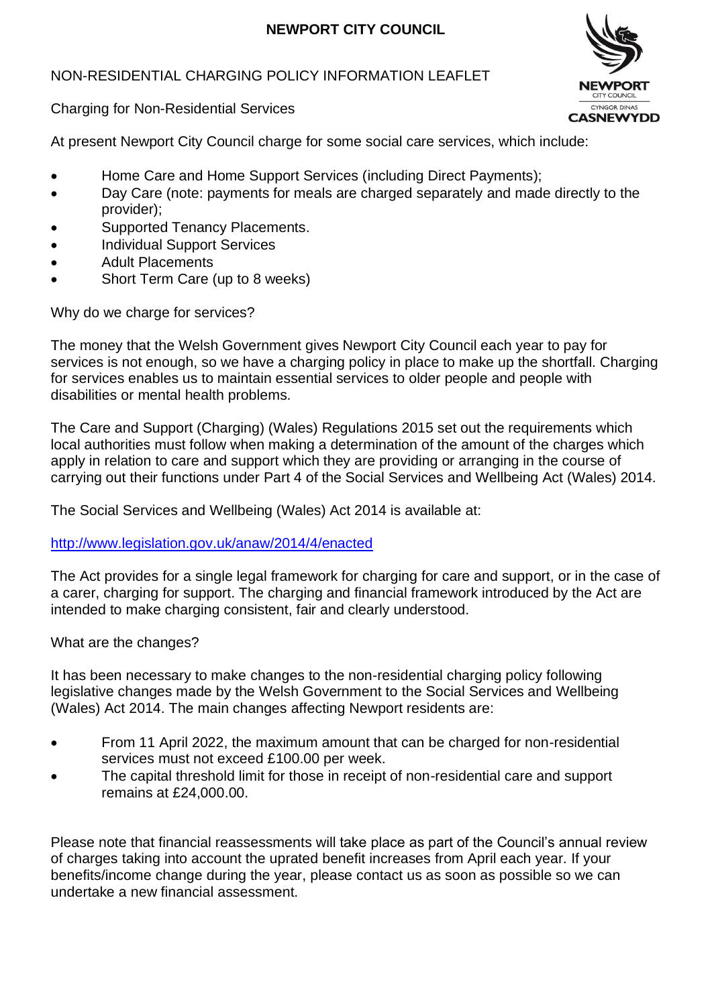# **NEWPORT CITY COUNCIL**

## NON-RESIDENTIAL CHARGING POLICY INFORMATION LEAFLET



Charging for Non-Residential Services

At present Newport City Council charge for some social care services, which include:

- Home Care and Home Support Services (including Direct Payments);
- Day Care (note: payments for meals are charged separately and made directly to the provider);
- Supported Tenancy Placements.
- Individual Support Services
- Adult Placements
- Short Term Care (up to 8 weeks)

Why do we charge for services?

The money that the Welsh Government gives Newport City Council each year to pay for services is not enough, so we have a charging policy in place to make up the shortfall. Charging for services enables us to maintain essential services to older people and people with disabilities or mental health problems.

The Care and Support (Charging) (Wales) Regulations 2015 set out the requirements which local authorities must follow when making a determination of the amount of the charges which apply in relation to care and support which they are providing or arranging in the course of carrying out their functions under Part 4 of the Social Services and Wellbeing Act (Wales) 2014.

The Social Services and Wellbeing (Wales) Act 2014 is available at:

<http://www.legislation.gov.uk/anaw/2014/4/enacted>

The Act provides for a single legal framework for charging for care and support, or in the case of a carer, charging for support. The charging and financial framework introduced by the Act are intended to make charging consistent, fair and clearly understood.

What are the changes?

It has been necessary to make changes to the non-residential charging policy following legislative changes made by the Welsh Government to the Social Services and Wellbeing (Wales) Act 2014. The main changes affecting Newport residents are:

- From 11 April 2022, the maximum amount that can be charged for non-residential services must not exceed £100.00 per week.
- The capital threshold limit for those in receipt of non-residential care and support remains at £24,000.00.

Please note that financial reassessments will take place as part of the Council's annual review of charges taking into account the uprated benefit increases from April each year. If your benefits/income change during the year, please contact us as soon as possible so we can undertake a new financial assessment.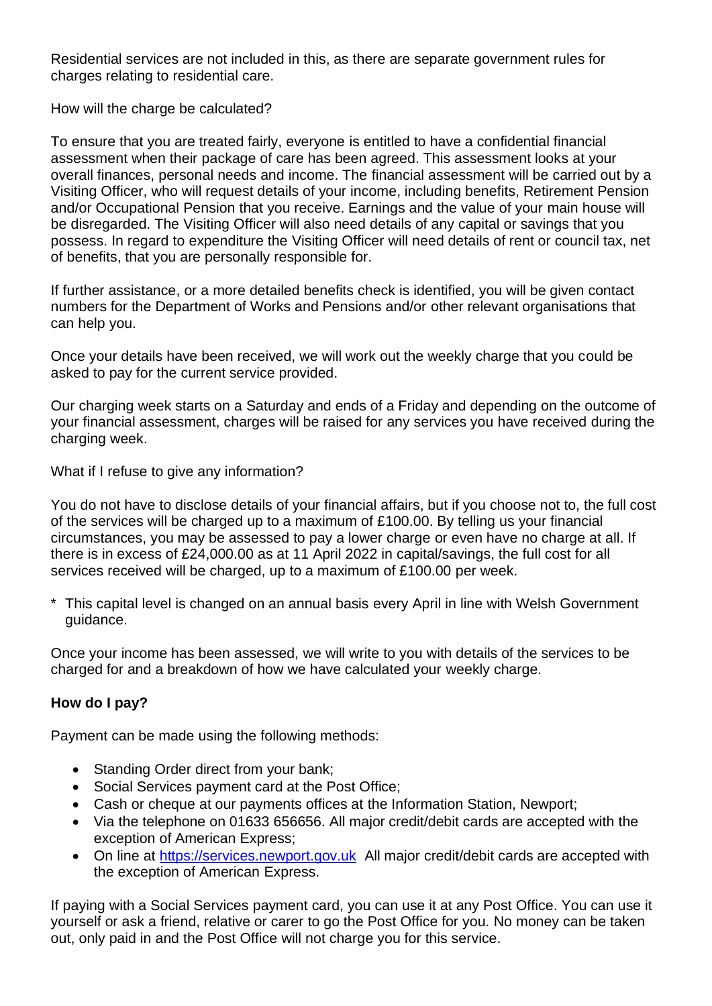Residential services are not included in this, as there are separate government rules for charges relating to residential care.

How will the charge be calculated?

To ensure that you are treated fairly, everyone is entitled to have a confidential financial assessment when their package of care has been agreed. This assessment looks at your overall finances, personal needs and income. The financial assessment will be carried out by a Visiting Officer, who will request details of your income, including benefits, Retirement Pension and/or Occupational Pension that you receive. Earnings and the value of your main house will be disregarded. The Visiting Officer will also need details of any capital or savings that you possess. In regard to expenditure the Visiting Officer will need details of rent or council tax, net of benefits, that you are personally responsible for.

If further assistance, or a more detailed benefits check is identified, you will be given contact numbers for the Department of Works and Pensions and/or other relevant organisations that can help you.

Once your details have been received, we will work out the weekly charge that you could be asked to pay for the current service provided.

Our charging week starts on a Saturday and ends of a Friday and depending on the outcome of your financial assessment, charges will be raised for any services you have received during the charging week.

What if I refuse to give any information?

You do not have to disclose details of your financial affairs, but if you choose not to, the full cost of the services will be charged up to a maximum of £100.00. By telling us your financial circumstances, you may be assessed to pay a lower charge or even have no charge at all. If there is in excess of £24,000.00 as at 11 April 2022 in capital/savings, the full cost for all services received will be charged, up to a maximum of £100.00 per week.

\* This capital level is changed on an annual basis every April in line with Welsh Government guidance.

Once your income has been assessed, we will write to you with details of the services to be charged for and a breakdown of how we have calculated your weekly charge.

# **How do I pay?**

Payment can be made using the following methods:

- Standing Order direct from your bank;
- Social Services payment card at the Post Office;
- Cash or cheque at our payments offices at the Information Station, Newport:
- Via the telephone on 01633 656656. All major credit/debit cards are accepted with the exception of American Express;
- On line at [https://services.newport.gov.uk](https://services.newport.gov.uk/) All major credit/debit cards are accepted with the exception of American Express.

If paying with a Social Services payment card, you can use it at any Post Office. You can use it yourself or ask a friend, relative or carer to go the Post Office for you. No money can be taken out, only paid in and the Post Office will not charge you for this service.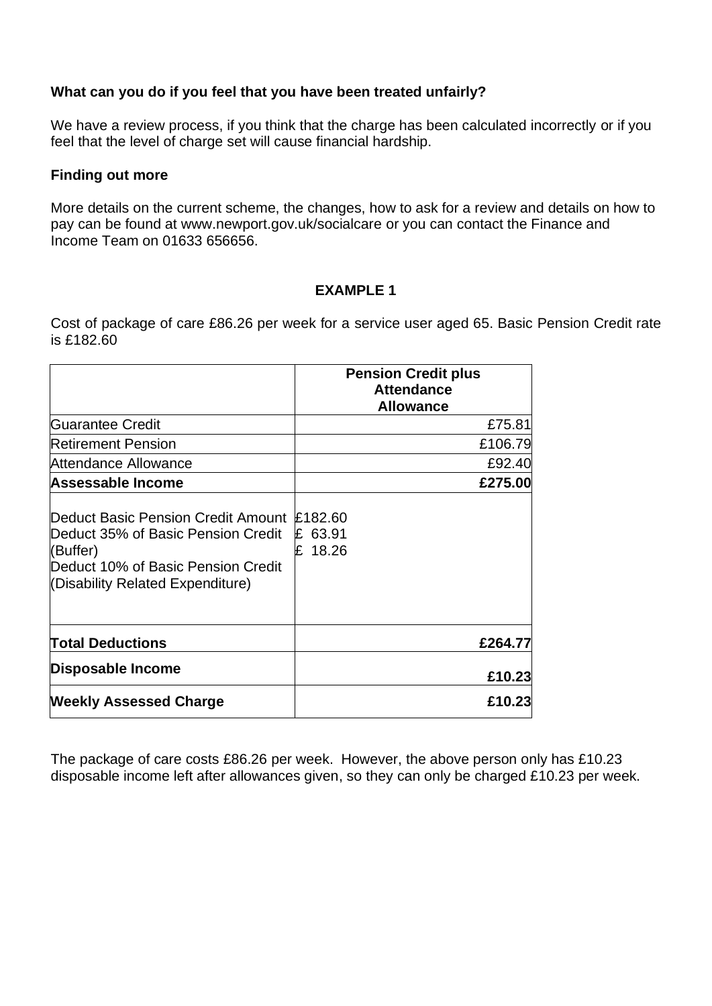### **What can you do if you feel that you have been treated unfairly?**

We have a review process, if you think that the charge has been calculated incorrectly or if you feel that the level of charge set will cause financial hardship.

#### **Finding out more**

More details on the current scheme, the changes, how to ask for a review and details on how to pay can be found at [www.newport.gov.uk/socialcare](http://www.newport.gov.uk/socialcare) or you can contact the Finance and Income Team on 01633 656656.

### **EXAMPLE 1**

Cost of package of care £86.26 per week for a service user aged 65. Basic Pension Credit rate is £182.60

|                                                                                                                                                                        | <b>Pension Credit plus</b><br><b>Attendance</b><br><b>Allowance</b> |
|------------------------------------------------------------------------------------------------------------------------------------------------------------------------|---------------------------------------------------------------------|
| Guarantee Credit                                                                                                                                                       | £75.81                                                              |
| <b>Retirement Pension</b>                                                                                                                                              | £106.79                                                             |
| Attendance Allowance                                                                                                                                                   | £92.40                                                              |
| Assessable Income                                                                                                                                                      | £275.00                                                             |
| Deduct Basic Pension Credit Amount £182.60<br>Deduct 35% of Basic Pension Credit<br>(Buffer)<br>Deduct 10% of Basic Pension Credit<br>(Disability Related Expenditure) | 63.91<br>£<br>18.26                                                 |
| <b>Total Deductions</b>                                                                                                                                                | £264.77                                                             |
| Disposable Income                                                                                                                                                      | £10.23                                                              |
| <b>Weekly Assessed Charge</b>                                                                                                                                          | £10.23                                                              |

The package of care costs £86.26 per week. However, the above person only has £10.23 disposable income left after allowances given, so they can only be charged £10.23 per week.